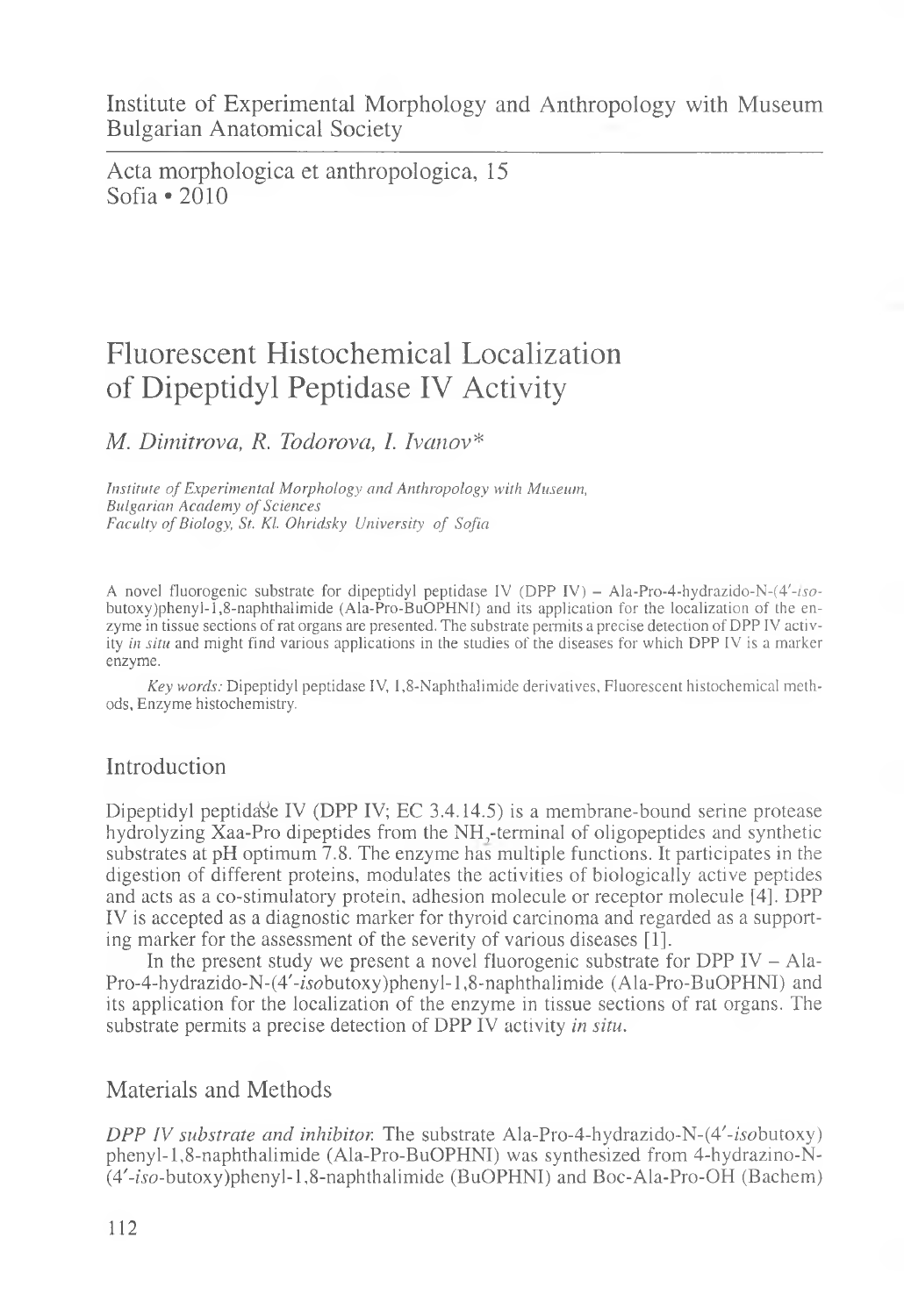Institute of Experimental Morphology and Anthropology with Museum Bulgarian Anatomical Society

Acta morphologica et anthropologica, 15 Sofia «2010

# Fluorescent Histochemical Localization of Dipeptidyl Peptidase IV Activity

### *M. Dimitrova, R. Todorova, I. Ivanov\**

*Institute of Experimental Morphology and Anthropology with Museum, Bulgarian Academy of Sciences Faculty of Biology, St. Kl. Ohridsky University of Sofia*

A novel fluorogenic substrate for dipeptidyl peptidase IV (DPP IV) - Ala-Pro-4-hydrazido-N- $(4'-iso$ butoxy)phenyl-I,8-naphthalimide (Ala-Pro-BuOPHNI) and its application for the localization of the enzyme in tissue sections of rat organs are presented. The substrate permits a precise detection of DPP IV activity *in situ* and might find various applications in the studies of the diseases for which DPP IV is a marker enzyme.

*Key words:* Dipeptidyl peptidase IV, 1,8-Naphthalimide derivatives, Fluorescent histochemical methods, Enzyme histochemistry.

## Introduction

Dipeptidyl peptidase IV (DPP IV; EC 3.4.14.5) is a membrane-bound serine protease hydrolyzing Xaa-Pro dipeptides from the NH,-terminal of oligopeptides and synthetic substrates at pH optimum 7.8. The enzyme has multiple functions. It participates in the digestion of different proteins, modulates the activities of biologically active peptides and acts as a co-stimulatory protein, adhesion molecule or receptor molecule [4]. DPP IV is accepted as a diagnostic marker for thyroid carcinoma and regarded as a supporting marker for the assessment of the severity of various diseases [1].

In the present study we present a novel fluorogenic substrate for DPP IV  $-$  Ala-Pro-4-hydrazido-N-(4'-isobutoxy)phenyl-1,8-naphthalimide (Ala-Pro-BuOPHNI) and its application for the localization of the enzyme in tissue sections of rat organs. The substrate permits a precise detection of DPP IV activity *in situ.*

### Materials and Methods

*DPP IV substrate and inhibitor.* The substrate Ala-Pro-4-hydrazido-N-(4'-*isobutoxy*) phenyl-1,8-naphthalimide (Ala-Pro-BuOPHNI) was synthesized from 4-hydrazino-N- $(4'-iso-butoxy)phenyl-1,8-naphthalimide (BuOPHNI)$  and Boc-Ala-Pro-OH (Bachem)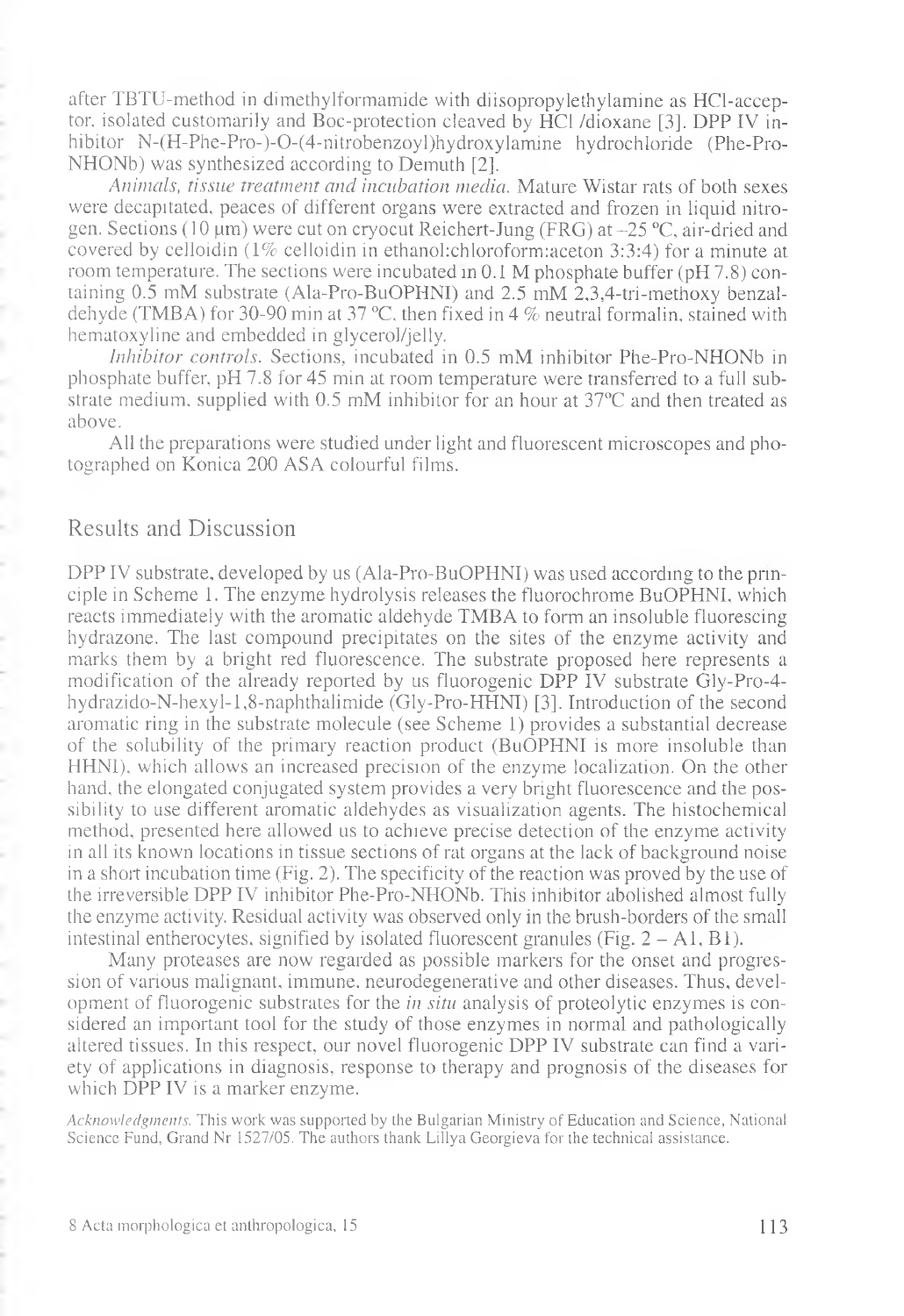after TBTU-method in dimethylformamide with diisopropylethylamine as HCl-acceptor, isolated customarily and Boc-protection cleaved by HC1 /dioxane [3]. DPP IV inhibitor N-(H-Phe-Pro-)-0-(4-nitrobenzoyl)hydroxylamine hydrochloride (Phe-Pro-NHONb) was synthesized according to Demuth [2].

*Animals, tissue treatment and incubation media.* Mature Wistar rats of both sexes were decapitated, peaces of different organs were extracted and frozen in liquid nitrogen. Sections (10  $\mu$ m) were cut on cryocut Reichert-Jung (FRG) at  $-25$  °C, air-dried and covered by celloidin  $(1\%$  celloidin in ethanol: chloroform: aceton 3:3:4) for a minute at room temperature. The sections were incubated in 0.1 M phosphate buffer (pH 7.8) containing 0.5 mM substrate (Ala-Pro-BuOPHNI) and 2.5 mM 2,3,4-tri-methoxy benzaldehyde (TMBA) for 30-90 min at 37 °C. then fixed in 4 % neutral formalin, stained with hematoxyline and embedded in glycerol/jelly.

*Inhibitor controls.* Sections, incubated in 0.5 mM inhibitor Phe-Pro-NHONb in phosphate buffer, pH 7.8 for 45 min at room temperature were transferred to a full substrate medium, supplied with 0.5 mM inhibitor for an hour at 37°C and then treated as above.

All the preparations were studied under light and fluorescent microscopes and photographed on Konica 200 ASA colourful films.

### Results and Discussion

DPP IV substrate, developed by us (Ala-Pro-BuOPHNI) was used according to the principle in Scheme 1. The enzyme hydrolysis releases the fluorochrome BuOPHNI, which reacts immediately with the aromatic aldehyde TMBA to form an insoluble fluorescing hydrazone. The last compound precipitates on the sites of the enzyme activity and marks them by a bright red fluorescence. The substrate proposed here represents a modification of the already reported by us fluorogenic DPP IV substrate Gly-Pro-4 hydrazido-N-hexyl-l,8-naphthalimide (Gly-Pro-HHNI) [3]. Introduction of the second aromatic ring in the substrate molecule (see Scheme 1) provides a substantial decrease of the solubility of the primary reaction product (BuOPHNI is more insoluble than HHNI), which allows an increased precision of the enzyme localization. On the other hand, the elongated conjugated system provides a very bright fluorescence and the possibility to use different aromatic aldehydes as visualization agents. The histochemical method, presented here allowed us to achieve precise detection of the enzyme activity in all its known locations in tissue sections of rat organs at the lack of background noise in a short incubation time (Fig. 2). The specificity of the reaction was proved by the use of the irreversible DPP IV inhibitor Phe-Pro-NHONb. This inhibitor abolished almost fully the enzyme activity. Residual activity was observed only in the brush-borders of the small intestinal entherocytes, signified by isolated fluorescent granules (Fig.  $2 - A1$ , B1).

Many proteases are now regarded as possible markers for the onset and progression of various malignant, immune, neurodegenerative and other diseases. Thus, development of fluorogenic substrates for the *in situ* analysis of proteolytic enzymes is considered an important tool for the study of those enzymes in normal and pathologically altered tissues. In this respect, our novel fluorogenic DPP IV substrate can find a variety of applications in diagnosis, response to therapy and prognosis of the diseases for which DPP IV is a marker enzyme.

*Acknowledgments.* This work was supported by the Bulgarian Ministry of Education and Science, National Science Fund, Grand Nr 1527/05. The authors thank Lillya Georgieva for the technical assistance.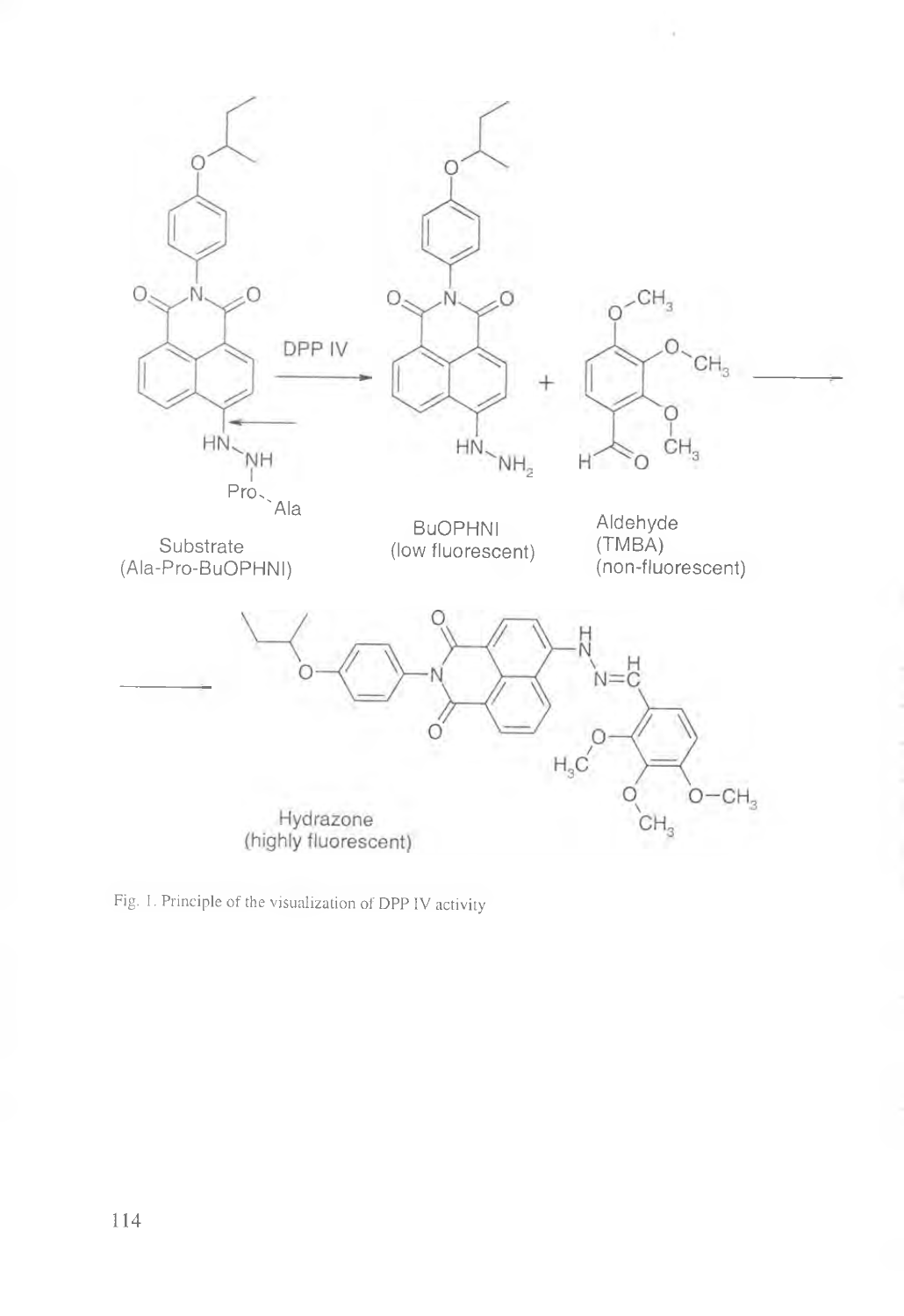

 $\sim$   $\sim$ 

Fig. 1. Principle of the visualization of DPP IV activity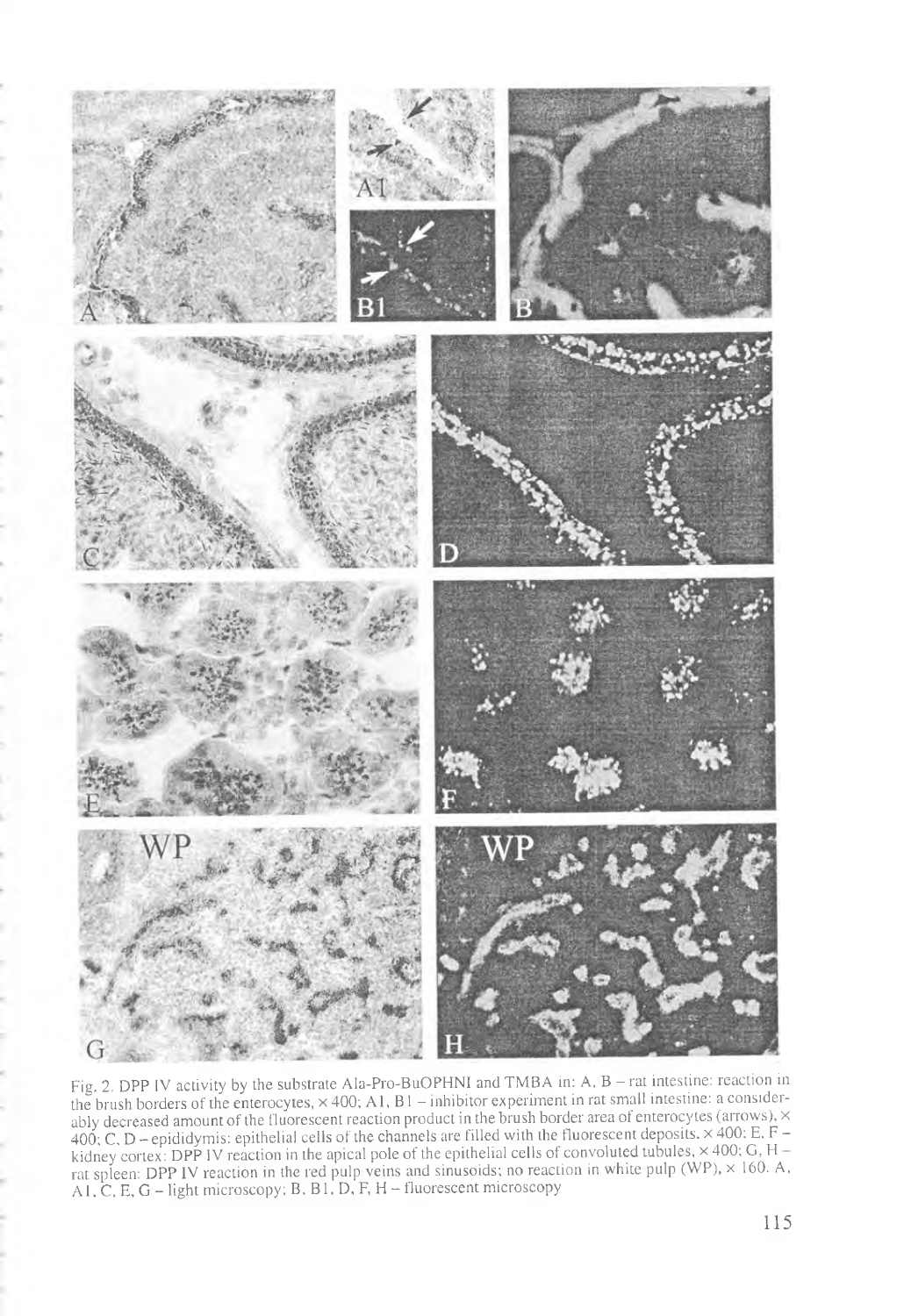

Fig. 2. DPP IV activity by the substrate Ala-Pro-BuOPHNI and TMBA in: A, B - rat intestine: reaction in the brush borders of the enterocytes,  $\times$  400; A1, B1 – inhibitor experiment in rat small intestine: a considerably decreased amount of the fluorescent reaction product in the brush border area of enterocytes (arrows),  $\times$ 400; C, D - epididymis: epithelial cells of the channels are filled with the fluorescent deposits, x 400; E, F kidney cortex: DPP IV reaction in the apical pole of the epithelial cells of convoluted tubules,  $\times$  400; G, H rat spleen: DPP IV reaction in the red pulp veins and sinusoids; no reaction in white pulp (WP),  $\times$  160. A, A1, C, E, G – light microscopy; B, B1, D, F, H – fluorescent microscopy